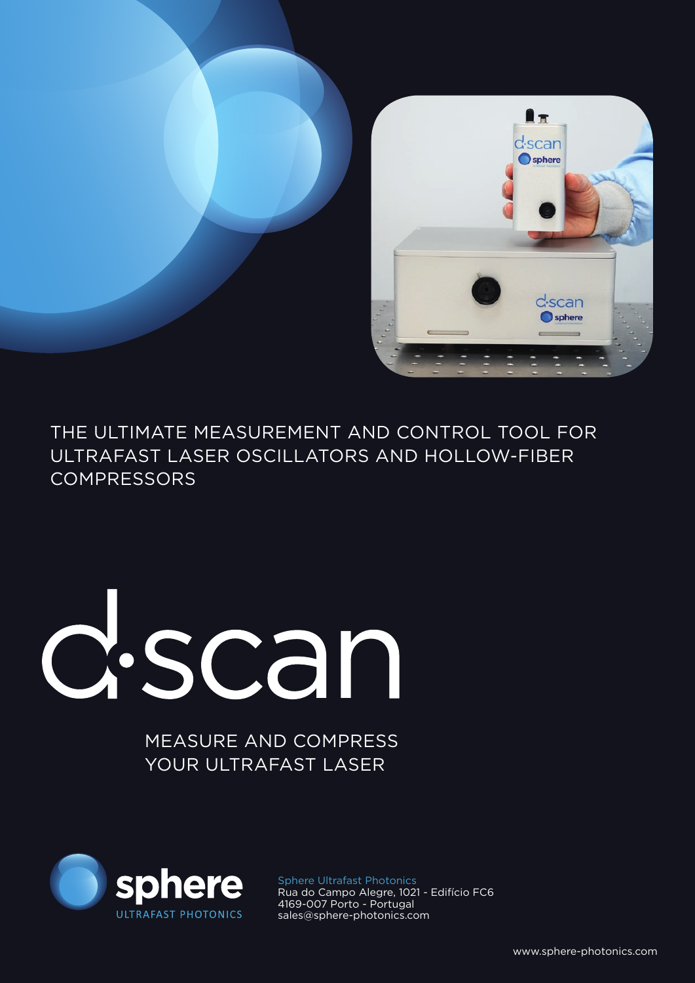

THE ULTIMATE MEASUREMENT AND CONTROL TOOL FOR ULTRAFAST LASER OSCILLATORS AND HOLLOW-FIBER COMPRESSORS

## d.scan

MEASURE AND COMPRESS YOUR ULTRAFAST LASER



Sphere Ultrafast Photonics Rua do Campo Alegre, 1021 - Edifício FC6 4169-007 Porto - Portugal sales@sphere-photonics.com